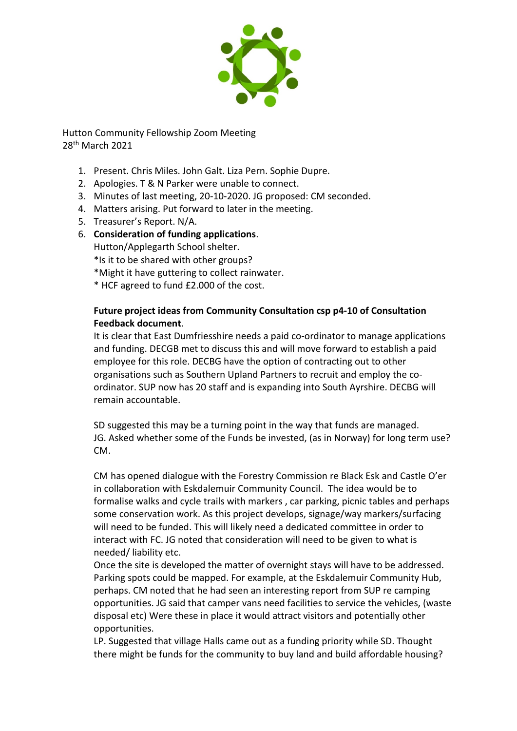

Hutton Community Fellowship Zoom Meeting 28th March 2021

- 1. Present. Chris Miles. John Galt. Liza Pern. Sophie Dupre.
- 2. Apologies. T & N Parker were unable to connect.
- 3. Minutes of last meeting, 20-10-2020. JG proposed: CM seconded.
- 4. Matters arising. Put forward to later in the meeting.
- 5. Treasurer's Report. N/A.
- 6. **Consideration of funding applications**.

Hutton/Applegarth School shelter.

- \*Is it to be shared with other groups?
- \*Might it have guttering to collect rainwater.
- \* HCF agreed to fund £2.000 of the cost.

## **Future project ideas from Community Consultation csp p4-10 of Consultation Feedback document**.

It is clear that East Dumfriesshire needs a paid co-ordinator to manage applications and funding. DECGB met to discuss this and will move forward to establish a paid employee for this role. DECBG have the option of contracting out to other organisations such as Southern Upland Partners to recruit and employ the coordinator. SUP now has 20 staff and is expanding into South Ayrshire. DECBG will remain accountable.

SD suggested this may be a turning point in the way that funds are managed. JG. Asked whether some of the Funds be invested, (as in Norway) for long term use? CM.

CM has opened dialogue with the Forestry Commission re Black Esk and Castle O'er in collaboration with Eskdalemuir Community Council. The idea would be to formalise walks and cycle trails with markers , car parking, picnic tables and perhaps some conservation work. As this project develops, signage/way markers/surfacing will need to be funded. This will likely need a dedicated committee in order to interact with FC. JG noted that consideration will need to be given to what is needed/ liability etc.

Once the site is developed the matter of overnight stays will have to be addressed. Parking spots could be mapped. For example, at the Eskdalemuir Community Hub, perhaps. CM noted that he had seen an interesting report from SUP re camping opportunities. JG said that camper vans need facilities to service the vehicles, (waste disposal etc) Were these in place it would attract visitors and potentially other opportunities.

LP. Suggested that village Halls came out as a funding priority while SD. Thought there might be funds for the community to buy land and build affordable housing?